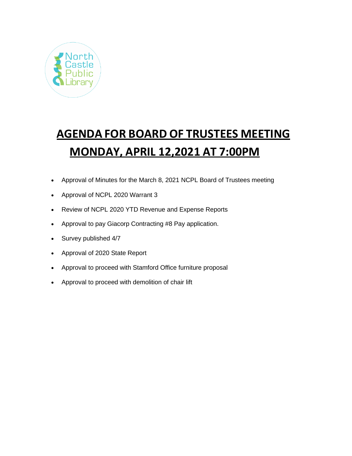

# **AGENDA FOR BOARD OF TRUSTEES MEETING MONDAY, APRIL 12,2021 AT 7:00PM**

- Approval of Minutes for the March 8, 2021 NCPL Board of Trustees meeting
- Approval of NCPL 2020 Warrant 3
- Review of NCPL 2020 YTD Revenue and Expense Reports
- Approval to pay Giacorp Contracting #8 Pay application.
- Survey published 4/7
- Approval of 2020 State Report
- Approval to proceed with Stamford Office furniture proposal
- Approval to proceed with demolition of chair lift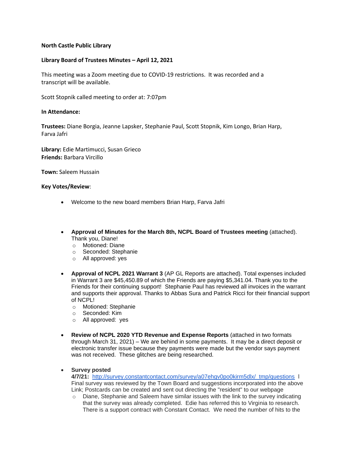## **North Castle Public Library**

## **Library Board of Trustees Minutes – April 12, 2021**

This meeting was a Zoom meeting due to COVID-19 restrictions. It was recorded and a transcript will be available.

Scott Stopnik called meeting to order at: 7:07pm

### **In Attendance:**

**Trustees:** Diane Borgia, Jeanne Lapsker, Stephanie Paul, Scott Stopnik, Kim Longo, Brian Harp, Farva Jafri

**Library:** Edie Martimucci, Susan Grieco **Friends:** Barbara Vircillo

**Town:** Saleem Hussain

#### **Key Votes/Review**:

- Welcome to the new board members Brian Harp, Farva Jafri
- **Approval of Minutes for the March 8th, NCPL Board of Trustees meeting** (attached). Thank you, Diane!
	- o Motioned: Diane
	- o Seconded: Stephanie
	- o All approved: yes
- **Approval of NCPL 2021 Warrant 3** (AP GL Reports are attached). Total expenses included in Warrant 3 are \$45,450.89 of which the Friends are paying \$5,341.04. Thank you to the Friends for their continuing support! Stephanie Paul has reviewed all invoices in the warrant and supports their approval. Thanks to Abbas Sura and Patrick Ricci for their financial support of NCPL!
	- o Motioned: Stephanie
	- o Seconded: Kim
	- o All approved: yes
- **Review of NCPL 2020 YTD Revenue and Expense Reports** (attached in two formats through March 31, 2021) – We are behind in some payments. It may be a direct deposit or electronic transfer issue because they payments were made but the vendor says payment was not received. These glitches are being researched.
- **Survey posted**

**4/7/21:** [http://survey.constantcontact.com/survey/a07ehgv0po0kirm5dlx/\\_tmp/questions](http://survey.constantcontact.com/survey/a07ehgv0po0kirm5dlx/_tmp/questions) l Final survey was reviewed by the Town Board and suggestions incorporated into the above Link; Postcards can be created and sent out directing the "resident" to our webpage

 $\circ$  Diane, Stephanie and Saleem have similar issues with the link to the survey indicating that the survey was already completed. Edie has referred this to Virginia to research. There is a support contract with Constant Contact. We need the number of hits to the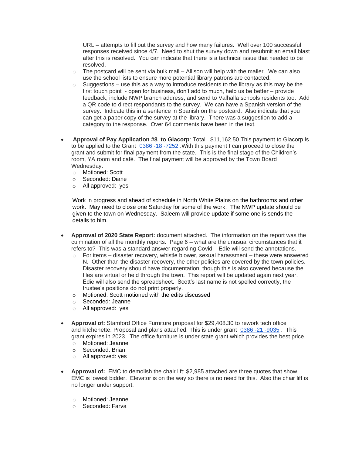URL – attempts to fill out the survey and how many failures. Well over 100 successful responses received since 4/7. Need to shut the survey down and resubmit an email blast after this is resolved. You can indicate that there is a technical issue that needed to be resolved.

- $\circ$  The postcard will be sent via bulk mail Allison will help with the mailer. We can also use the school lists to ensure more potential library patrons are contacted.
- $\circ$  Suggestions use this as a way to introduce residents to the library as this may be the first touch point - open for business, don't add to much, help us be better – provide feedback, include NWP branch address, and send to Valhalla schools residents too. Add a QR code to direct respondants to the survey. We can have a Spanish version of the survey. Indicate this in a sentence in Spanish on the postcard. Also indicate that you can get a paper copy of the survey at the library. There was a suggestion to add a category to the response. Over 64 comments have been in the text.
- **Approval of Pay Application #8 to Giacorp**: Total \$11,162.50 This payment to Giacorp is to be applied to the Grant [0386 -18 -7252](https://eservices.nysed.gov/ldgrants/constructionForms.do?i=checklist&grantid=7232&m=cn) .With this payment I can proceed to close the grant and submit for final payment from the state. This is the final stage of the Children's room, YA room and café. The final payment will be approved by the Town Board Wednesday.
	- o Motioned: Scott
	- o Seconded: Diane
	- o All approved: yes

Work in progress and ahead of schedule in North White Plains on the bathrooms and other work. May need to close one Saturday for some of the work. The NWP update should be given to the town on Wednesday. Saleem will provide update if some one is sends the details to him.

- **Approval of 2020 State Report:** document attached. The information on the report was the culmination of all the monthly reports. Page 6 – what are the unusual circumstances that it refers to? This was a standard answer regarding Covid. Edie will send the annotations.
	- $\circ$  For items disaster recovery, whistle blower, sexual harassment these were answered N. Other than the disaster recovery, the other policies are covered by the town policies. Disaster recovery should have documentation, though this is also covered because the files are virtual or held through the town. This report will be updated again next year. Edie will also send the spreadsheet. Scott's last name is not spelled correctly, the trustee's positions do not print properly.
	- o Motioned: Scott motioned with the edits discussed
	- o Seconded: Jeanne
	- o All approved: yes
- **Approval of:** Stamford Office Furniture proposal for \$29,408.30 to rework tech office and kitchenette. Proposal and plans attached. This is under grant 0386 -21 -9035 . This grant expires in 2023. The office furniture is under state grant which provides the best price.
	- o Motioned: Jeanne
	- o Seconded: Brian
	- o All approved: yes
- **Approval of:** EMC to demolish the chair lift: \$2,985 attached are three quotes that show EMC is lowest bidder. Elevator is on the way so there is no need for this. Also the chair lift is no longer under support.
	- o Motioned: Jeanne
	- o Seconded: Farva